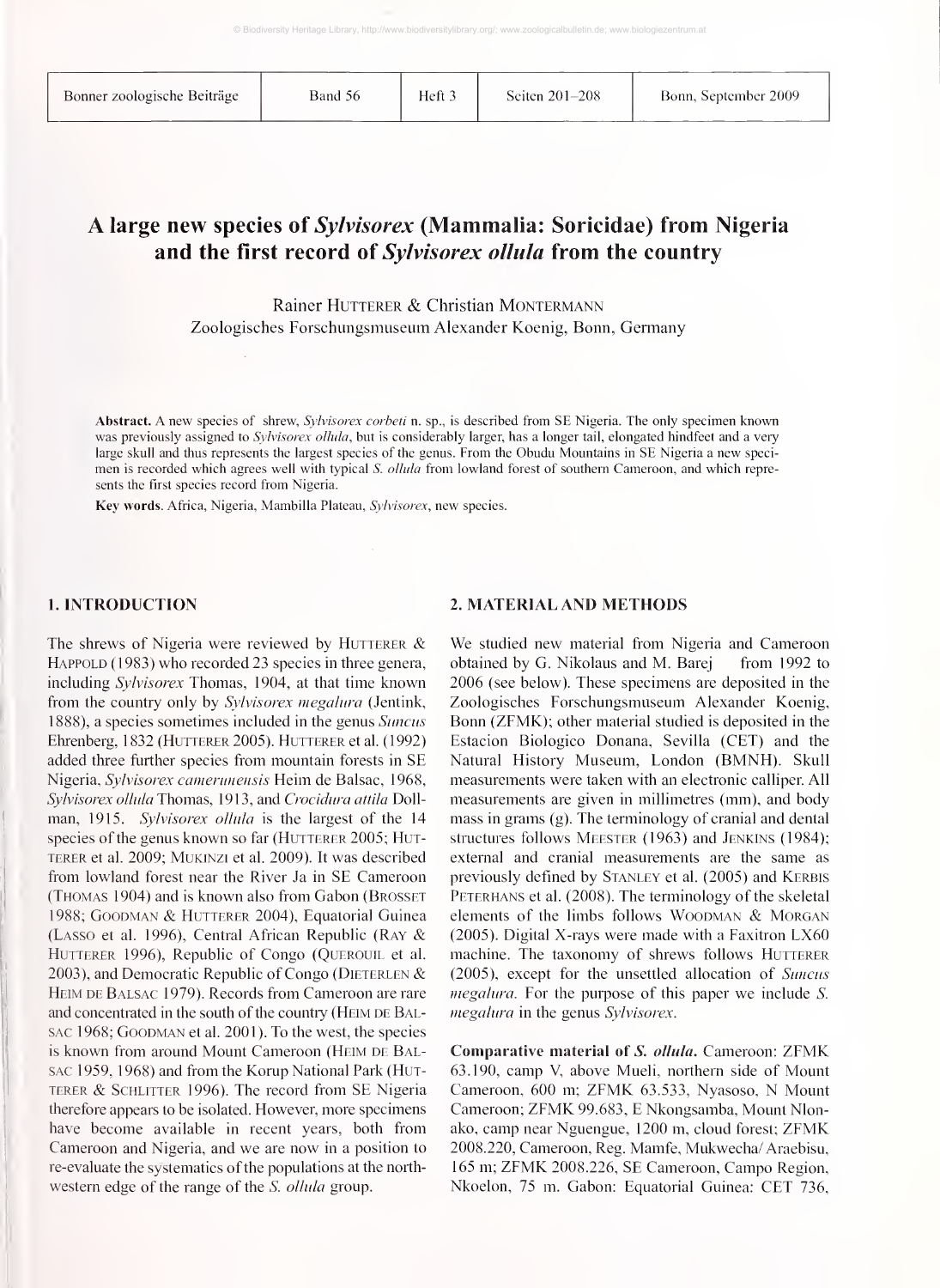Bonner zoologische Beiträge | Band 56 | Heft 3 | Seiten 201-208 | Bonn, September 2009

# A large new species of Sylvisorex (Mammalia: Soricidae) from Nigeria and the first record of Sylvisorex ollula from the country

Rainer HUTTERER & Christian MONTERMANN Zoologisches Forschungsmuseum Alexander Koenig, Bonn, Germany

Abstract. A new species of shrew, Sylvisorex corbeti n. sp., is described from SE Nigeria. The only specimen known was previously assigned to Sylvisorex ollula, but is considerably larger, has a longer tail, elongated hindfeet and a very large skull and thus represents the largest species of the genus. From the Obudu Mountains in SE Nigeria a new speci men is recorded which agrees well with typical S. ollula from lowland forest of southern Cameroon, and which represents the first species record from Nigeria.

Key words. Africa, Nigeria, Mambilla Plateau, Sylvisorex, new species.

# 1. INTRODUCTION

The shrews of Nigeria were reviewed by HUTTERER  $&$ HAPPOLD (1983) who recorded 23 species in three genera, including Sylvisorex Thomas, 1904, at that time known from the country only by Sylvisorex megalura (Jentink, 1888), a species sometimes included in the genus Suncus Ehrenberg, 1832 (HUTTERER 2005). HUTTERER et al. (1992) added three further species from mountain forests in SE Nigeria, Sylvisorex camerunensis Heim de Balsac, 1968, Sylvisorex ollula Thomas, 1913, and Crocidura attila Doll man, 1915. Sylvisorex ollula is the largest of the 14 species of the genus known so far (HUTTERER 2005; HUTterer et al. 2009; Mukinzi et al. 2009). It was described from lowland forest near the River Ja in SE Cameroon (Thomas 1904) and is known also from Gabon (Brosset 1988; GOODMAN & HUTTERER 2004), Equatorial Guinea (Lasso et al. 1996), Central African Republic (Ray & HUTTERER 1996), Republic of Congo (QUEROUIL et al. 2003), and Democratic Republic of Congo (DIETERLEN & Heim de Balsac 1979). Records from Cameroon are rare and concentrated in the south of the country (HEIM DE BALsac 1968; GOODMAN et al. 2001). To the west, the species is known from around Mount Cameroon (HEIM DE BALsac 1959, 1968) and from the Korup National Park (Hutterer & SCHLITTER 1996). The record from SE Nigeria therefore appears to be isolated. However, more specimens have become available in recent years, both from Cameroon and Nigeria, and we are now in <sup>a</sup> position to re-evaluate the systematics of the populations at the north western edge of the range of the *S. ollula* group.

# 2. MATERIAL AND METHODS

We studied new material from Nigeria and Cameroon obtained by G. Nikolaus and M. Barej from 1992 to 2006 (see below). These specimens are deposited in the Zoologisches Forschungsmuseum Alexander Koenig, Bonn (ZFMK); other material studied is deposited in the Estación Biológico Donana, Sevilla (CET) and the Natural History Museum, London (BMNH). Skull measurements were taken with an electronic calliper All measurements are given in millimetres (mm), and body mass in grams  $(g)$ . The terminology of cranial and dental structures follows Meester (1963) and Jenkins (1984); external and cranial measurements are the same as previously defined by STANLEY et al. (2005) and KERBIS PETERHANS et al. (2008). The terminology of the skeletal elements of the limbs follows Woodman & Morgan (2005). Digital X-rays were made with <sup>a</sup> Faxitron LX60 machine. The taxonomy of shrews follows HUTTERER (2005), except for the unsettled allocation of Suncus megalura. For the purpose of this paper we include S. megalura in the genus Sylvisorex.

Comparative material of S. ollula. Cameroon: ZFMK 63.190, camp V, above Mueli, northern side of Mount Cameroon, <sup>600</sup> m; ZFMK 63.533, Nyasoso, N Mount Cameroon; ZFMK 99.683, E Nkongsamba, Mount Nlonako, camp near Nguengue, <sup>1200</sup> m, cloud forest; ZFMK 2008.220, Cameroon, Reg. Mamie, Mukwecha/ Araebisu, <sup>165</sup> m; ZFMK 2008.226, SE Cameroon, Campo Region, Nkoelon, 75 m. Gabon: Equatorial Guinea: CET 736,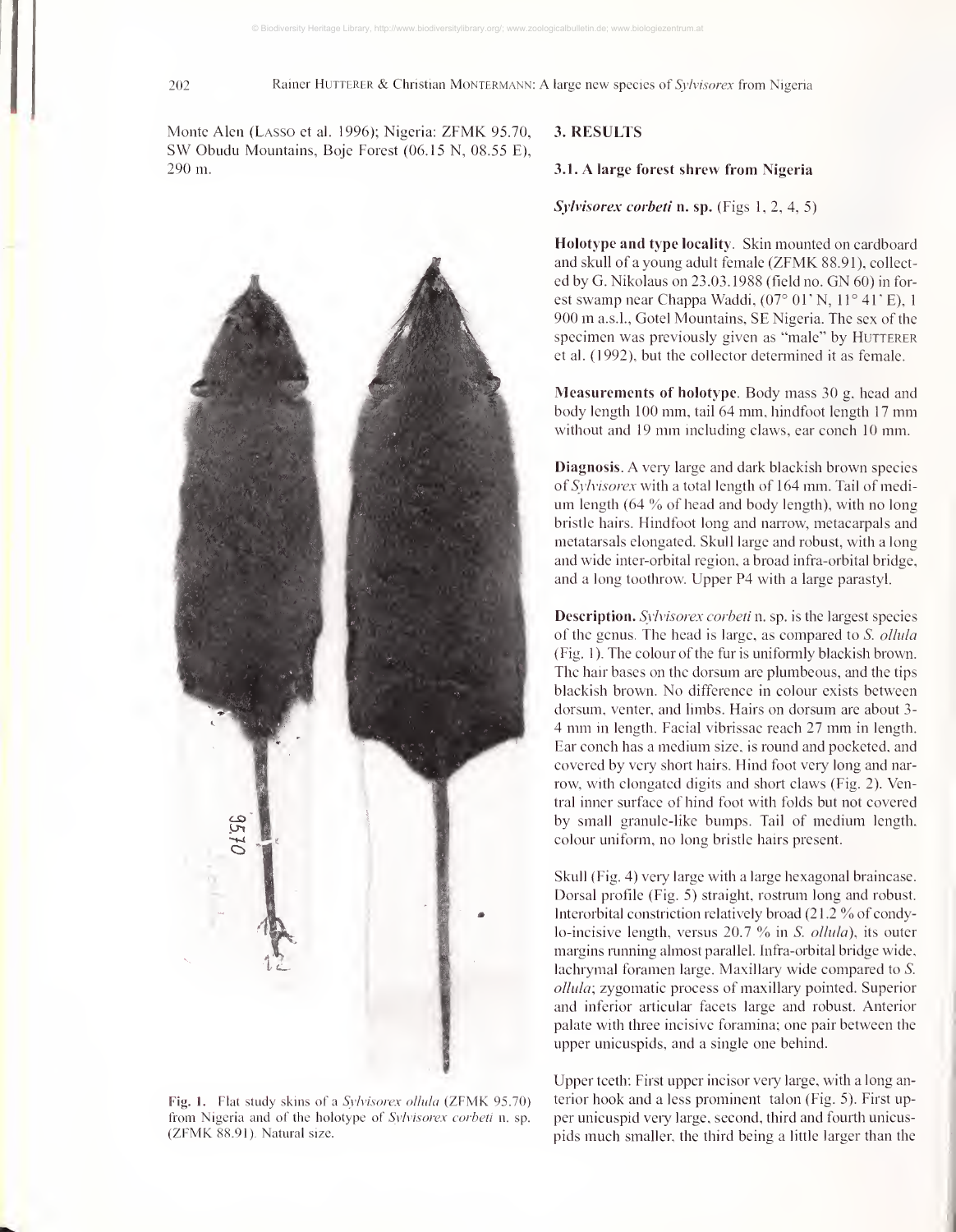Monte Alen (Lasso et al. 1996); Nigeria: ZFMK 95.70, SW Obudu Mountains, Boje Forest (06.15 N. 08.55 E), 290 m.



Fig. 1. Flat study skins of a Sylvisorex ollula (ZFMK 95.70) from Nigeria and of the holotype of Sylvisorex corbeti n. sp. (ZFMK 88.91). Natural size.

# 3. RESULTS

3.1. A large forest shrew from Nigeria

Sylvisorex corbeti n. sp. (Figs 1, 2, 4, 5)

Holotype and type locality. Skin mounted on cardboard and skull of <sup>a</sup> young adult female (ZFMK 88.91), collect ed by G. Nikolaus on 23.03.1988 (field no. GN 60) in forest swamp near Chappa Waddi, (07° 01' N, 11° 41' E), 1 <sup>900</sup> m a.s.l., Gotel Mountains, SB Nigeria. The sex of the specimen was previously given as "male" by HUTTERER et al. (1992), but the collector determined it as female.

Measurements of holotype. Body mass 30 g, head and body length <sup>100</sup> mm, tail <sup>64</sup> min, hindfoot length <sup>17</sup> mm without and <sup>19</sup> mm including claws, ear conch <sup>10</sup> mm.

Diagnosis. A very large and dark blackish brown species of Sylvisorex with a total length of 164 mm. Tail of medium length (64 % of head and body length), with no long bristle hairs. Hindfoot long and narrow, metacarpals and metatarsals elongated. Skull large and robust, with a long and wide inter-orbital region, a broad infra-orbital bridge, and a long toothrow. Upper P4 with a large parastyl.

Description. Sylvisorex corbeti n. sp. is the largest species of the genus. The head is large, as compared to S. ollula (Fig. 1). The colour of the fur is uniformly blackish brown. The hair bases on the dorsum are plumbeous, and the tips blackish brown. No difference in colour exists between dorsum, venter, and limbs. Hairs on dorsum are about 3- <sup>4</sup> mm in length. Facial vibrissae reach <sup>27</sup> mm in length. Ear conch has <sup>a</sup> medium size, is round and pocketed, and covered by very short hairs. Hind foot very long and nar row, with elongated digits and short claws (Fig. 2). Ventral inner surface of hind foot with folds but not covered by small granule-like bumps. Tail of medium length, colour unifomi. no long bristle hairs present.

Skull (Fig. 4) very large with a large hexagonal braincase. Dorsal profile (Fig. 5) straight, rostrum long and robust. Interorbital constriction relatively broad (21.2 % of condylo-incisive length, versus 20.7 % in *S. ollula*), its outer margins running almost parallel. Infra-orbital bridge wide, lachrymal foramen large. Maxillary wide compared to S. ollula; zygomatic process of maxillary pointed. Superior and inferior articular facets large and robust. Anterior palate with three incisive foramina; one pair between the upper unicuspids. and a single one behind.

Upper teeth: First upper incisor very large, with a long anterior hook and a less prominent talon (Fig. 5). First upper unicuspid veiy large, second, third and fourth unicuspids much smaller, the third being <sup>a</sup> little larger than the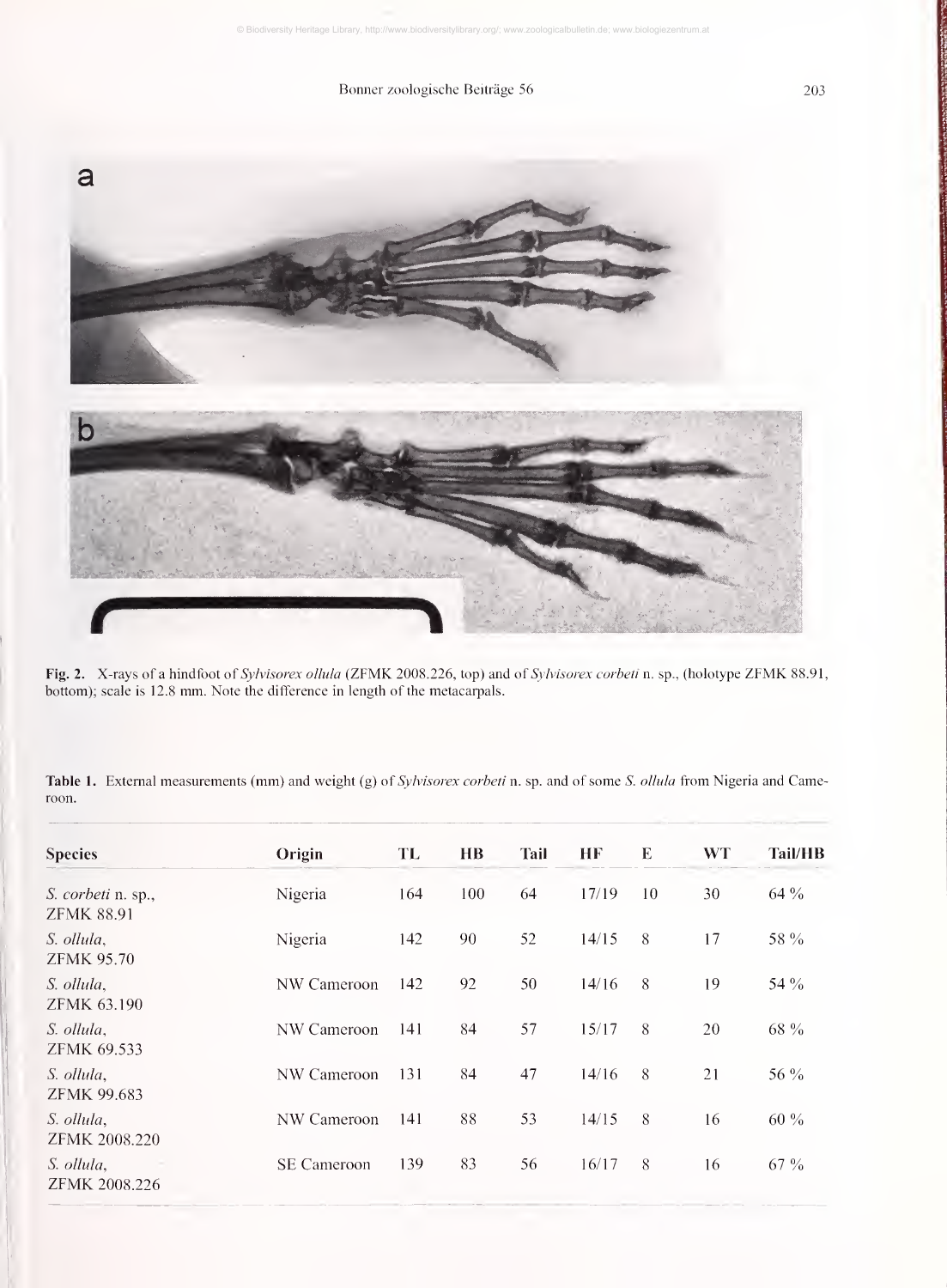# Bonner zoologische Beiträge 56 203



Fig. 2. X-rays of <sup>a</sup> hindfoot of Sylvisorex ollula (ZFMK 2008.226, top) and of Sylvisorex corbeti n. sp., (holotype ZFMK 88.91, bottom); scale is 12.8 mm. Note the difference in length of the metacarpals.

Table 1. External measurements (mm) and weight (g) of Sylvisorex corbeti n. sp. and of some S. ollula from Nigeria and Cameroon.

| Origin             | TL  | <b>HB</b> | Tail | НF    | E  | <b>WT</b> | <b>Tail/HB</b> |  |
|--------------------|-----|-----------|------|-------|----|-----------|----------------|--|
| Nigeria            | 164 | 100       | 64   | 17/19 | 10 | 30        | $64\%$         |  |
| Nigeria            | 142 | 90        | 52   | 14/15 | 8  | 17        | 58 %           |  |
| NW Cameroon        | 142 | 92        | 50   | 14/16 | 8  | 19        | 54 %           |  |
| NW Cameroon        | 141 | 84        | 57   | 15/17 | 8  | 20        | 68 %           |  |
| NW Cameroon        | 131 | 84        | 47   | 14/16 | 8  | 21        | 56 %           |  |
| NW Cameroon        | 141 | 88        | 53   | 14/15 | 8  | 16        | $60\%$         |  |
| <b>SE</b> Cameroon | 139 | 83        | 56   | 16/17 | 8  | 16        | 67 %           |  |
|                    |     |           |      |       |    |           |                |  |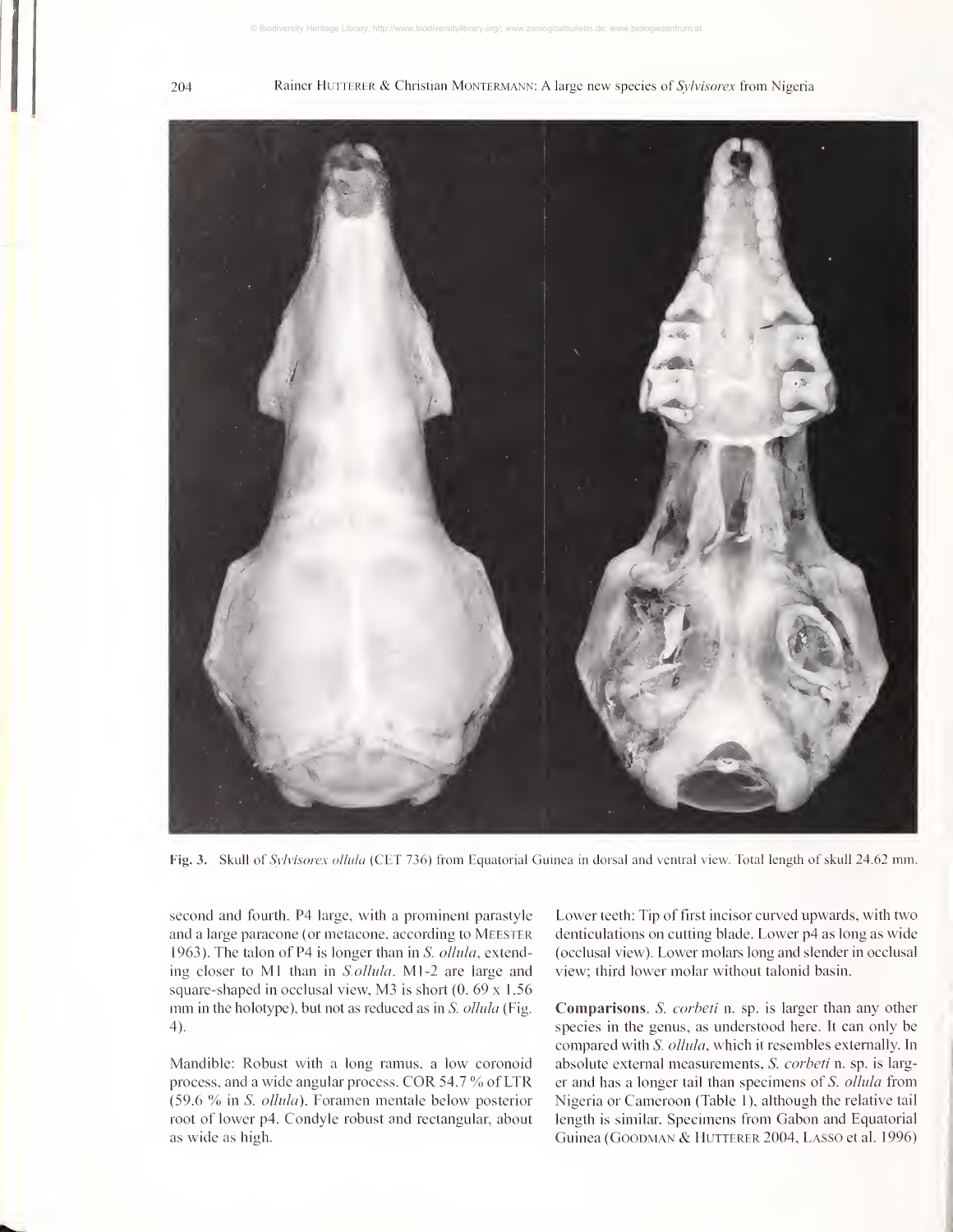



Fig. 3. Skull of Sylvisorex ollula (CET 736) from Equatorial Guinea in dorsal and ventral view. Total length of skull 24.62 mm.

second and fourth. P4 large, with a prominent parastyle and a large paracone (or metacone, according to MEESTER 1963). The talon of P4 is longer than in S. ollula, extending closer to M1 than in S.ollula. M1-2 are large and square-shaped in occlusal view, M3 is short (0. 69 <sup>x</sup> 1.56 inm in the holotype), but not as reduced as in S. ollula (Fig. 4).

Mandible: Robust with a long ramus, a low coronoid process, and a wide angular process. COR 54.7% of LTR (59.6  $\%$  in S. *ollula*). Foramen mentale below posterior root of lower p4. Condyle robust and rectangular, about as wide as high.

Lower teeth: Tip of first incisor curved upwards, with two denticulations on cutting blade. Lower p4 as long as wide (occlusal view). Lower molars long and slender in occlusal view; third lower molar without talonid basin.

Comparisons. S. corbeti n. sp. is larger than any other species in the genus, as understood here. It can only be compared with S. ollula, which it resembles externally. In absolute external measurements, S. corbeti n. sp. is larg er and has a longer tail than specimens of S. ollula from Nigeria or Cameroon (Table 1), although the relative tail length is similar. Speciinens from Gabon and Equatorial Guinea (GOODMAN & HUTTERER 2004, LASSO et al. 1996)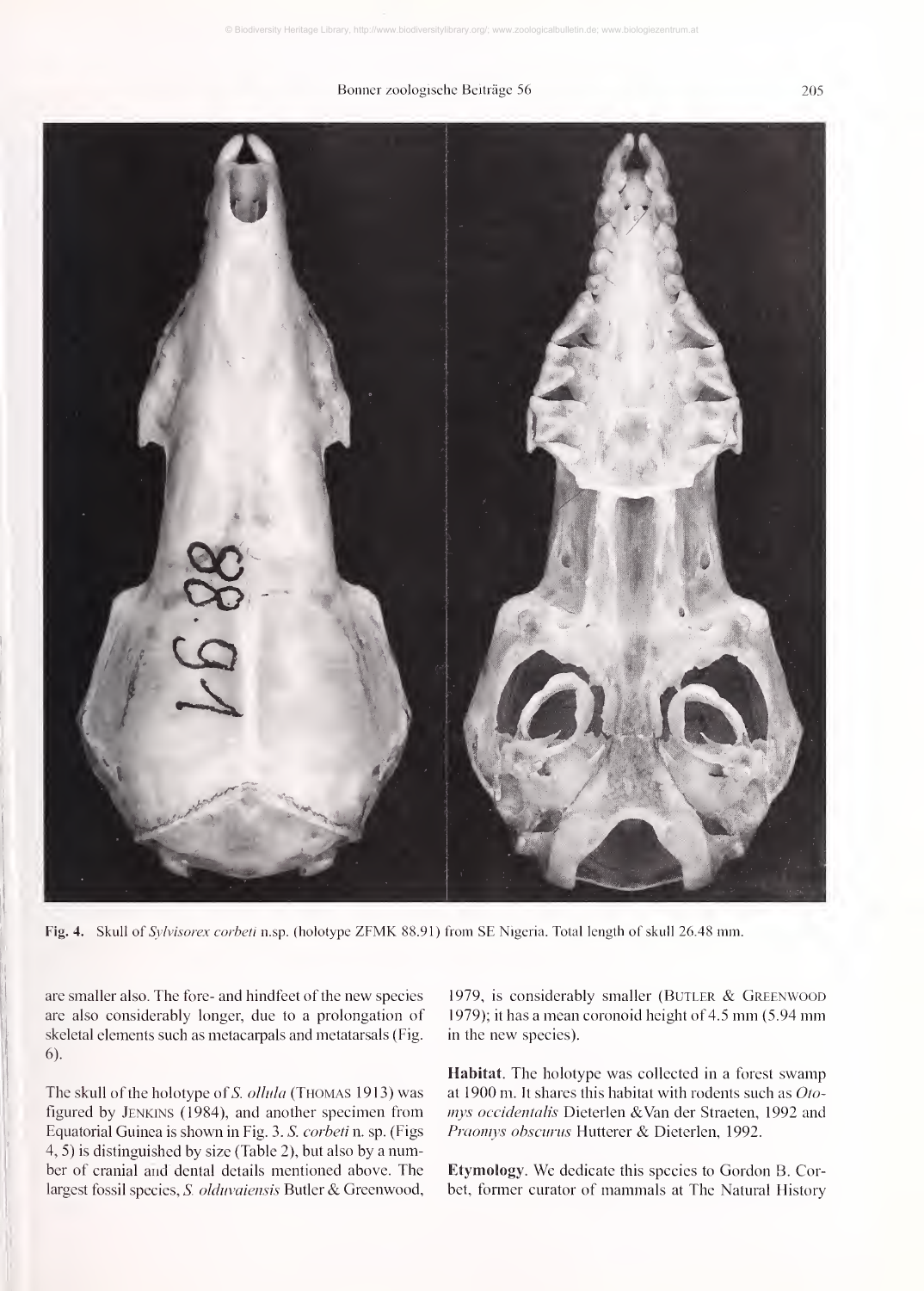Bonner zoologische Beiträge 56 205



Fig. 4. Skull of Sylvisorex corbeti n.sp. (holotype ZFMK 88.91) from SE Nigeria. Total length of skull 26.48 mm.

are smaller also. The fore- and hindfeet of the new species are also considerably longer, due to a prolongation of skeletal elements such as metacarpals and metatarsals (Fig. 6).

The skull of the holotype of S. ollula (THOMAS 1913) was figured by Jenkins (1984), and another specimen from Equatorial Guinea is shown in Fig. 3. S. corbeti n. sp. (Figs 4, 5) is distinguished by size (Table 2), but also by a number of cranial and dental details mentioned above. The largest fossil species, S. olduvaiensis Butler & Greenwood, 1979, is considerably smaller (BUTLER & GREENWOOD 1979); it has <sup>a</sup> mean coronoid height of 4.5 mm (5.94 mm in the new species).

Habitat. The holotype was collected in a forest swamp at 1900 m. It shares this habitat with rodents such as  $Oto$ mys occidentalis Dieterlen & Van der Straeten, 1992 and Praomys obscurus Hutterer & Dieterlen, 1992.

Etymology. We dedicate this species to Gordon B. Corbet, former curator of mammals at The Natural History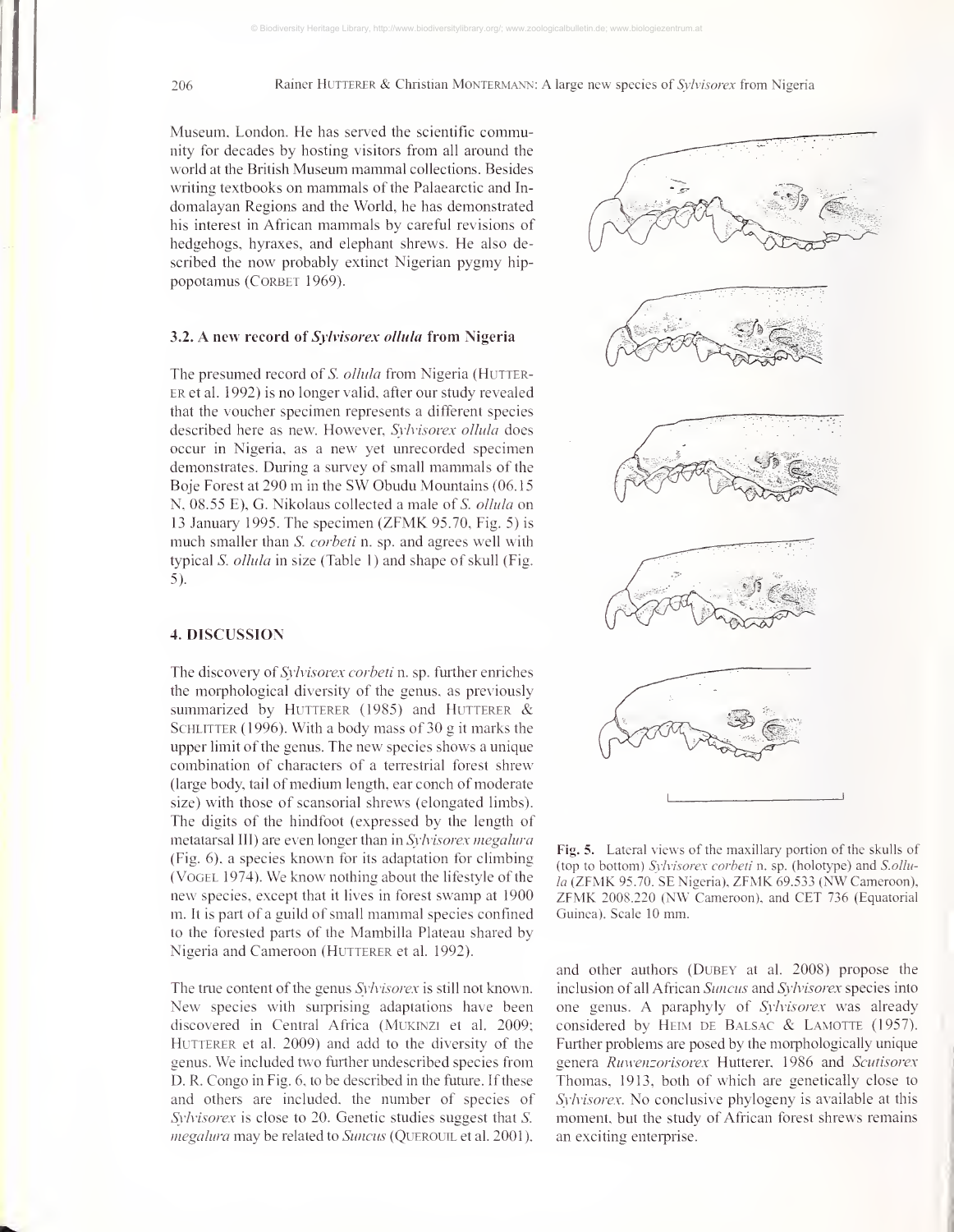#### 206 Rainer HUTTERER & Christian MONTERMANN: A large new species of *Sylvisorex* from Nigeria

Museum, London. He has served the scientific community for decades by hosting visitors from all around the world at the British Museum mammal collections. Besides writing textbooks on mammals of the Palaearctic and In domalayan Regions and the World, he has demonstrated his interest in African mammals by careful revisions of hedgehogs, hyraxes. and elephant shrews. He also described the now probably extinct Nigerian pygmy hippopotamus (CORBET 1969).

#### 3.2. A new record of Sylvisorex ollula from Nigeria

The presumed record of *S. ollula* from Nigeria (HUTTERer et al. 1992) is no longer valid, after our study revealed that the voucher specimen represents a different species described here as new. However, Sylvisorex ollula does occur in Nigeria, as <sup>a</sup> new yet unrecorded specimen demonstrates. During <sup>a</sup> survey of small mammals of the Boje Forest at <sup>290</sup> m in the SW Obudu Mountains (06. <sup>1</sup> N, 08.55 E), G. Nikolaus collected a male of 5. ollula on <sup>13</sup> January 1995. The specimen (ZFMK 95.70. Fig. 5) is much smaller than *S. corbeti* n. sp. and agrees well with typical *S. ollula* in size (Table 1) and shape of skull (Fig. 5).

# 4. DISCUSSION

The discovery of Sylvisorex corbeti n. sp. further enriches the morphological diversity of the genus, as previously summarized by HUTTERER (1985) and HUTTERER  $&$ SCHLITTER (1996). With a body mass of 30 g it marks the upper limit of the genus. The new species shows <sup>a</sup> unique combination of characters of a terrestrial forest shrew (large body, tail of medium length, ear conch of moderate size) with those of scansorial shrews (elongated limbs). The digits of the hindfoot (expressed by the length of metatarsal III) are even longer than in  $Sylvisorex$  megalura (Fig. 6), <sup>a</sup> species known for its adaptation for climbing (Vogel 1974). We know nothing about the lifestyle of the new species, except that it lives in forest swamp at 1900 m. It is part of <sup>a</sup> guild of small mammal species confined to the forested parts of the Mambilla Plateau shared by Nigeria and Cameroon (HUTTERER et al. 1992).

The true content of the genus Sylvisorex is still not known. New species with surprising adaptations have been discovered in Central Africa (Mukinzi et al. 2009; HUTTERER et al. 2009) and add to the diversity of the genus. We included two further undescribed species from D. R. Congo in Fig. 6, to be described in the future. If these and others are included, the number of species of Sylvisorex is close to 20. Genetic studies suggest that S. megalura may be related to Suncus (QUEROUIL et al. 2001).



Fig. 5. Lateral views of the maxillary portion of the skulls of (top to bottom) Sylvisorex corbeti n. sp. (holotype) and S.ollula (ZFMK 95.70. SE Nigeria), ZFMK 69.533 (NW Cameroon), ZFMK 2008.220 (NW Cameroon), and CET <sup>736</sup> (Equatorial Guinea). Scale 10 mm.

and other authors (Dubey at al. 2008) propose the inclusion of all African Suncus and Sylvisorex species into one genus. A paraphyly of Sylvisorex was already considered by HEIM DE BALSAC & LAMOTTE (1957). Further problems are posed by the morphologically unique genera Ruwenzorisorex Hutterer, 1986 and Scutisorex Thomas, 1913, both of which are genetically close to Sylvisorex. No conclusive phylogeny is available at this moment, but the study of African forest shrews remains an exciting enterprise.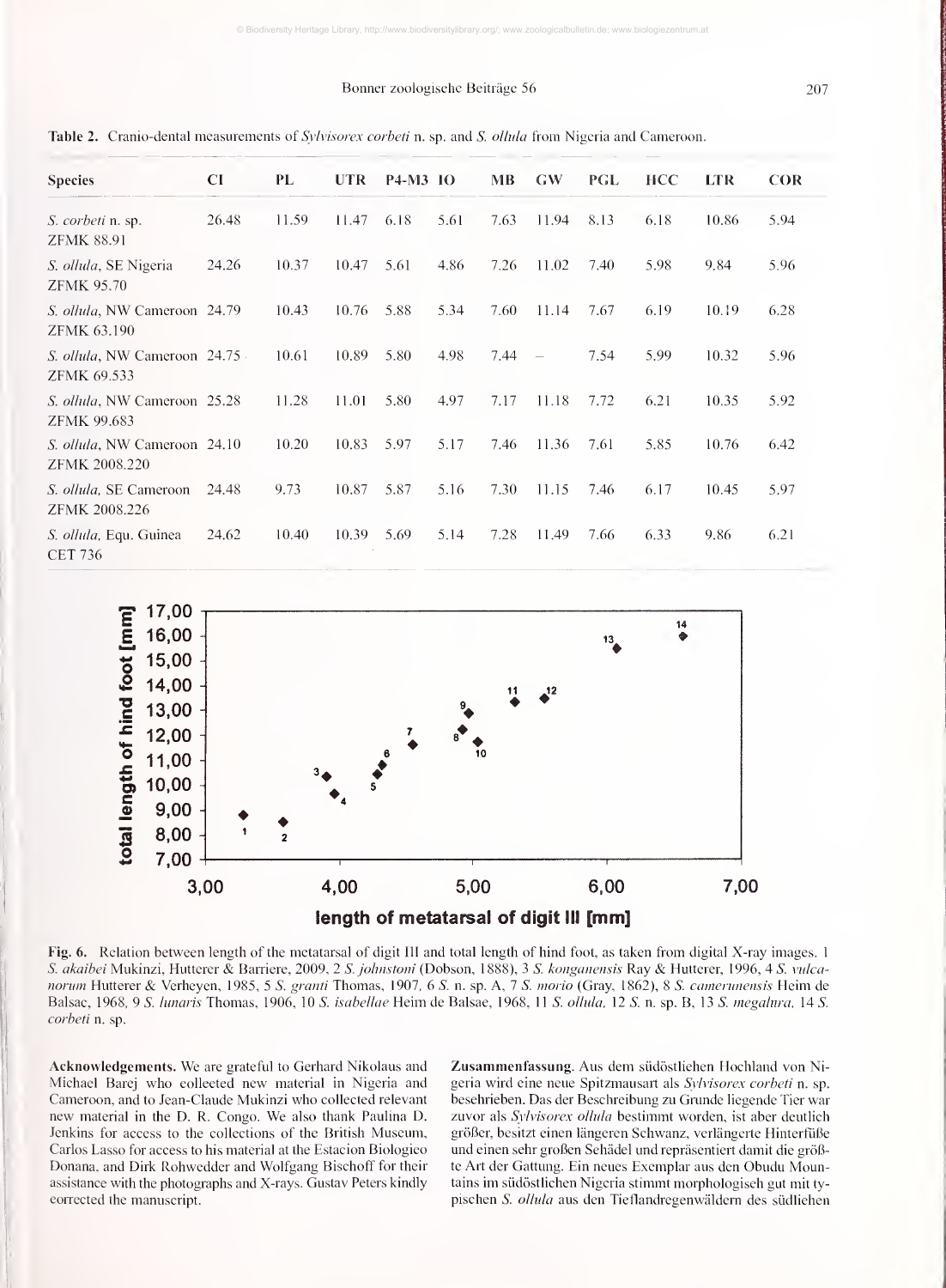#### Bonner zoologische Beiträge 56 207

| <b>Species</b>                                      | <b>CI</b> | PL    | <b>UTR</b> | P4-M3 10 |      | MB   | GW                       | <b>PGL</b> | <b>HCC</b> | <b>LTR</b> | <b>COR</b> |
|-----------------------------------------------------|-----------|-------|------------|----------|------|------|--------------------------|------------|------------|------------|------------|
| S. corbeti n. sp.<br><b>ZFMK 88.91</b>              | 26.48     | 11.59 | 11.47      | 6.18     | 5.61 | 7.63 | 11.94                    | 8.13       | 6.18       | 10.86      | 5.94       |
| <i>S. ollula</i> , SE Nigeria<br><b>ZFMK 95.70</b>  | 24.26     | 10.37 | 10.47      | 5.61     | 4.86 | 7.26 | 11.02                    | 7.40       | 5.98       | 9.84       | 5.96       |
| S. ollula, NW Cameroon 24.79<br>ZFMK 63.190         |           | 10.43 | 10.76      | 5.88     | 5.34 | 7.60 | 11.14                    | 7.67       | 6.19       | 10.19      | 6.28       |
| S. ollula, NW Cameroon 24.75.<br>ZFMK 69.533        |           | 10.61 | 10.89      | 5.80     | 4.98 | 7.44 | $\overline{\phantom{a}}$ | 7.54       | 5.99       | 10.32      | 5.96       |
| <i>S. ollula</i> , NW Cameroon 25.28<br>ZFMK 99.683 |           | 11.28 | 11.01      | 5.80     | 4.97 | 7.17 | 11.18                    | 7.72       | 6.21       | 10.35      | 5.92       |
| S. ollula, NW Cameroon 24.10<br>ZFMK 2008.220       |           | 10.20 | 10.83      | 5.97     | 5.17 | 7.46 | 11.36                    | 7.61       | 5.85       | 10.76      | 6.42       |
| <i>S. ollula</i> , SE Cameroon<br>ZFMK 2008.226     | 24.48     | 9.73  | 10.87      | 5.87     | 5.16 | 7.30 | 11.15                    | 7.46       | 6.17       | 10.45      | 5.97       |
| S. ollula, Equ. Guinea<br><b>CET 736</b>            | 24.62     | 10.40 | 10.39      | 5.69     | 5.14 | 7.28 | 11.49                    | 7.66       | 6.33       | 9.86       | 6.21       |

Table 2. Cranio-dental measurements of Sylvisorex corbeti n. sp. and S. ollula from Nigeria and Cameroon.



Fig. 6. Relation between length of the metatarsal of digit III and total length of hind foot, as taken from digital X-ray images. <sup>1</sup> S. akaibei Mukinzi, Hutterer & Barriere, 2009, 2 S. johnstoni (Dobson, 1888), 3 S. konganensis Ray & Hutterer, 1996, 4 S. vulcanorum Hutterer & Verheyen, 1985, 5 S. granti Thomas, 1907, 6 S. n. sp. A, 7 S. morio (Gray, 1862), 8 S. camerunensis Heim de Balsac, 1968, 9 S. lunaris Thomas, 1906, 10 S. isabellae Heim de Balsae, 1968, 11 S. ollula, 12 S. n. sp. B, 13 S. megalura, 14 S. corbeti n. sp.

Acknowledgements. We are grateftil to Gerhard Nikolaus and Michael Barej who collected new material in Nigeria and Cameroon, and to Jean-Claude Mukinzi who collected relevant new material in the D. R. Congo. We also thank Paulina D. Jenkins for access to the collections of the British Museum, Carlos Lasso for access to his material at the Estación Biológico Donana, and Dirk Rohwedder and Wolfgang Bischoff for their assistance with the photographs and X-rays. Gustav Peters kindly corrected the manuscript.

Zusammenfassung. Aus dem südöstlichen Hochland von Nigeria wird eine neue Spitzmausart als Sylvisorex corbeti n. sp. beschrieben. Das der Beschreibung zu Grunde liegende Tier war zuvor als Sylvisorex ollula bestimmt worden, ist aber deutlich größer, besitzt einen längeren Schwanz, verlängerte Hinterfüße und einen sehr großen Schädel und repräsentiert damit die größte Art der Gattung. Ein neues Exemplar aus den Obudu Mountains im südöstlichen Nigeria stimmt morphologisch gut mit ty pischen S. ollula aus den Tieflandregenwäldern des südlichen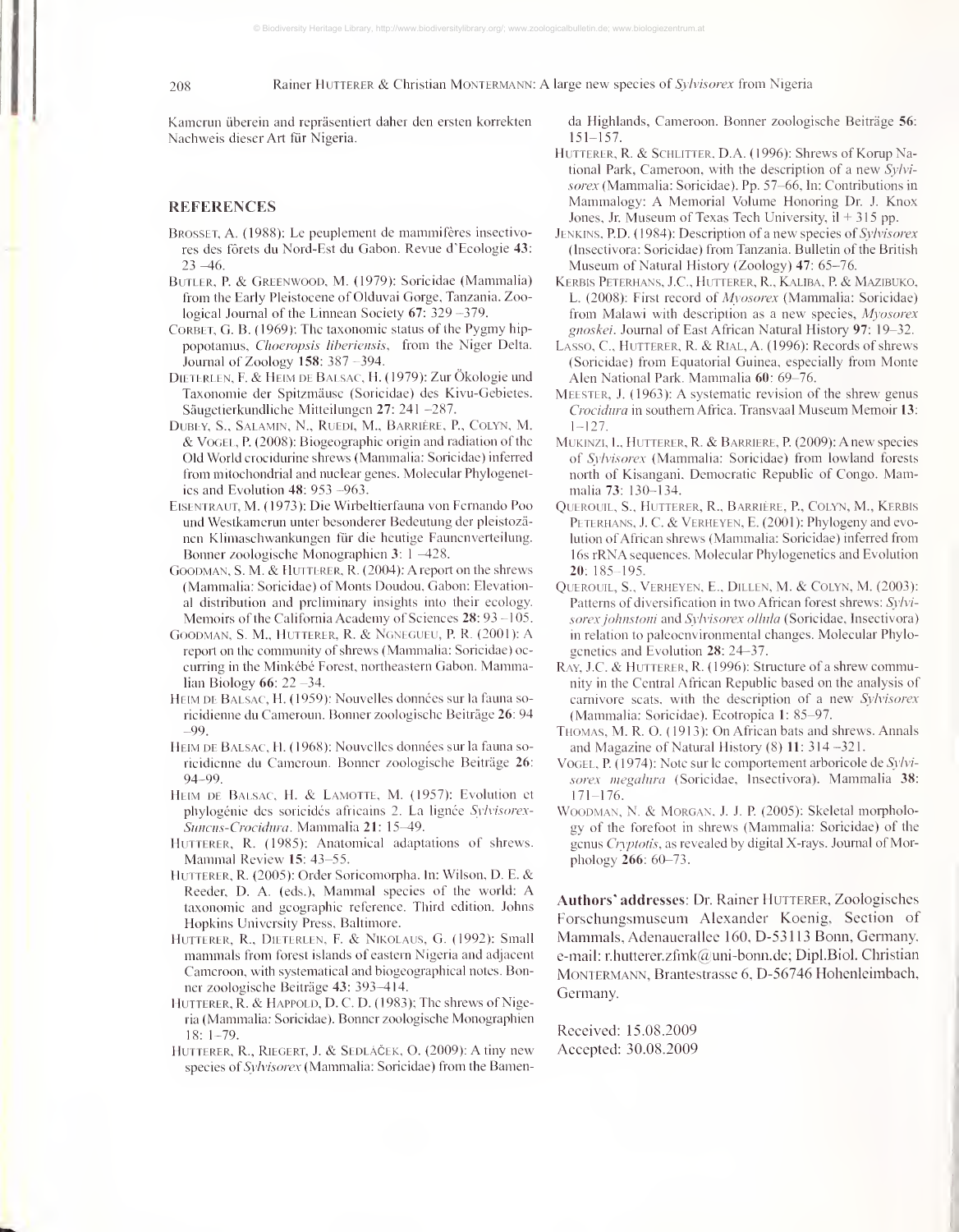208 Rainer HUTTERER & Christian MONTERMANN: A large new species of *Sylvisorex* from Nigeria

Kamerun überein and repräsentiert daher den ersten korrekten Nachweis dieser Art für Nigeria.

#### REFERENCES

- BROSSET, A. (1988): Le peuplement de mammifères insectivores des fórets du Nord-Est du Gabon. Revue d'Ecologie 43: 23 -A6.
- Butler, R & Greenwood, M. (1979): Soricidae (Mammalia) from the Eariy Pleistocene of Olduvai Gorge, Tanzania. Zoological Journal of the Linnean Society 67: 329 -379.
- CORBET, G. B. (1969): The taxonomic status of the Pygmy hippopotamus, Choeropsis liberiensis, from the Niger Delta. Journal of Zoology 158: 387 -394.
- DIETERLEN, F. & HEIM DE BALSAC, H. (1979): Zur Ökologie und Taxonomie der Spitzmäuse (Soricidae) des Kivu-Gebietes. Säugetierkundliche Mitteilungen 27: 241 -287.
- DUBEY, S., SALAMIN, N., RUEDI, M., BARRIERE, P., COLYN, M.  $& VoGEL, P. (2008): Biogeographic origin and radiation of the$ Old World crocidurine shrews (Mammalia: Soricidae) inferred from mitochondrial and nuclear genes. Molecular Phylogenetics and Evolution 48: 953 -963.
- Eisentraut, M. (1973): Die Wirbeltierfauna von Fernando Poo und Westkamenm unter besonderer Bedeutung der pleistozä nen Klimaschwankungen für die heutige Faunenverteilung. Bonner zoologische Monographien 3: 1–428.
- Goodman, S. M. & Hutterer, R. (2004): A report on the shrews (Mammalia: Soricidae) of Monts Doudou, Gabon: Elevational distribution and preliminary insights into their ecology. Memoirs of the California Academy of Sciences 28: 93 -105.
- Goodman, S. M., Hutterer, R. & Ngnegueu, P. R. (2001): A report on the community of shrews (Mammalia: Soricidae) oc curring in the Minkébé Forest, northeastern Gabon. Mammalian Biology  $66: 22 - 34$ .
- Heim de Balsac, H. ( 1959): Nouvelles données sur la fauna so ricidienne du Cameroun. Bonner zoologische Beiträge 26: 94 -99.
- Heim de Balsac, H. (1968): Nouvelles données sur la fauna so ricidienne du Cameroun. Bonner zoologische Beiträge 26: 94-99.
- Heim de Balsac, H. & Lamotte, M. (1957): Evolution et phylogénie des soricidés africains 2. La lignée Sylvisorex-Suncus-Crocidura. Mammalia 21: 15-49.
- HUTTERER, R. (1985): Anatomical adaptations of shrews. Mammal Review 15: 43-55.
- HUTTERER, R. (2005): Order Soricomorpha. In: Wilson, D. E. & Reeder, D. A. (eds.). Mammal species of the world: A taxonomic and geographic reference. Third edition. Johns Hopkins University Press, Baltimore.
- HUTTERER, R., DIETERLEN, F. & NIKOLAUS, G. (1992): Small mammals from forest islands of eastern Nigeria and adjacent Cameroon, with systematical and biogeographical notes. Bonner zoologische Beiträge 43: 393-414.
- HUTTERER,  $R. \&$  HAPPOLD, D. C. D. (1983); The shrews of Nigeria (Mammalia; Soricidae). Bonner zoologische Monographien 18; 1-79.
- HUTTERER, R., RIEGERT, J. & SEDLAČEK, O. (2009): A tiny new species of Sylvisorex (Mammalia: Soricidae) from the Bamen-

da Highlands, Cameroon. Bonner zoologische Beiträge 56; 151-157.

- HUTTERER, R. & SCHLITTER, D.A. (1996): Shrews of Korup National Park, Cameroon, with the description of a new Sylvi sorex (Mammalia: Soricidae). Pp. 57–66, In: Contributions in Mammalogy: A Memorial Volume Honoring Dr. J. Knox Jones, Jr. Museum of Texas Tech University, il + 315 pp.
- Jenkins, P.D. (1984); Description of a new species of Sylvisorex (Insectívora; Soricidae) from Tanzania. Bulletin of the British Museum of Natural History (Zoology) 47; 65-76.
- Kerbis Peterhans, J.C, Hutterer, R., Kaliba, P. & Mazibuko, L. (2008): First record of Myosorex (Mammalia; Soricidae) from Malawi with description as a new species, Myosorex gnoskei. Journal of East African Natural History 97; 19-32.
- Lasso, C, Hutterer, R. & Rial, A. (1996); Records of shrews (Soricidae) from Equatorial Guinea, especially from Monte Alen National Park. Mammalia 60; 69-76.
- Meester, J. (1963); A systematic revision of the shrew genus Crocidura in southern Africa. Transvaal Museum Memoir 13:  $1 - 127$ .
- MuKiNZi, I., Hutterer, R. & Barriere, P. (2009); Anew species of Sylvisorex (Mammalia; Soricidae) from lowland forests north of Kisangani. Democratic Republic of Congo. Mammalia 73; 130-134.
- QuEROuiL, S., Hutterer, R., Barriere, P., Colyn, M., Kerbis PETERHANS, J. C. & VERHEYEN, E. (2001): Phylogeny and evolution of African shrews (Mammalia: Soricidae) inferred from <sup>1</sup> 6s rRNA sequences. Molecular Phylogenetics and Evolution 20; 185-195.
- QuEROuiL, S., Verheyen, E., Dillen, M. & Colyn, M. (2003): Patterns of diversification in two African forest shrews; Sylvi sorex johnstoni and Sylvisorex ollula (Soricidae, Insectivora) in relation to paleoenvironmental changes. Molecular Phylogenetics and Evolution 28; 24-37.
- RAY, J.C. & HUTTERER, R. (1996): Structure of a shrew community in the Central African Republic based on the analysis of carnivore scats, with the description of a new Sylvisorex (Mammalia; Soricidae). Ecotropica 1; 85-97.
- Thomas, M. R. O. ( 1913): On African bats and shrews. Annals and Magazine of Natural History (8) 11; 314 -321.
- Vogel, P. (1974): Note sur le comportement arboricole de Sylvi sorex megalura (Soricidae, Insectivora). Mammalia 38: 171-176.
- Woodman, N. & Morgan, J. J. P. (2005); Skeletal morphology of the forefoot in shrews (Mammalia: Soricidae) of the genus Cryptotis, as revealed by digital X-rays. Journal of Morphology 266; 60-73.

Authors' addresses: Dr. Rainer HUTTERER, Zoologisches Forschungsmuseum Alexander Koenig, Section of Mammals, Adenauerallee 160, D-53113 Bonn, Germany, e-mail: r.hutterer.zfmk@uni-bonn.de; Dipl.Biol. Christian Montermann, Brantestrasse 6, D-56746 Hohenleimbach, Germany.

Received: 15.08.2009 Accepted: 30.08.2009